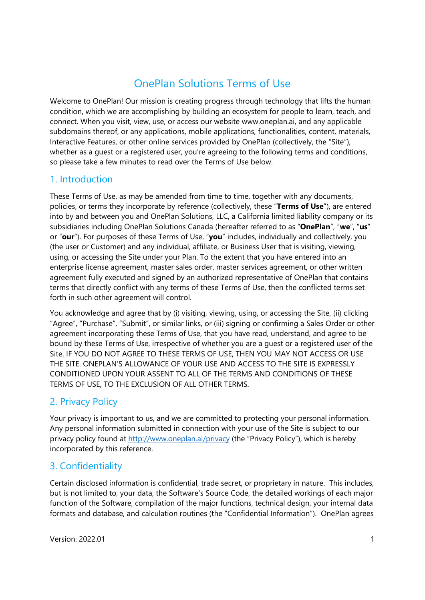# OnePlan Solutions Terms of Use

Welcome to OnePlan! Our mission is creating progress through technology that lifts the human condition, which we are accomplishing by building an ecosystem for people to learn, teach, and connect. When you visit, view, use, or access our website www.oneplan.ai, and any applicable subdomains thereof, or any applications, mobile applications, functionalities, content, materials, Interactive Features, or other online services provided by OnePlan (collectively, the "Site"), whether as a guest or a registered user, you're agreeing to the following terms and conditions, so please take a few minutes to read over the Terms of Use below.

# 1. Introduction

These Terms of Use, as may be amended from time to time, together with any documents, policies, or terms they incorporate by reference (collectively, these "**Terms of Use**"), are entered into by and between you and OnePlan Solutions, LLC, a California limited liability company or its subsidiaries including OnePlan Solutions Canada (hereafter referred to as "**OnePlan**", "**we**", "**us**" or "**our**"). For purposes of these Terms of Use, "**you**" includes, individually and collectively, you (the user or Customer) and any individual, affiliate, or Business User that is visiting, viewing, using, or accessing the Site under your Plan. To the extent that you have entered into an enterprise license agreement, master sales order, master services agreement, or other written agreement fully executed and signed by an authorized representative of OnePlan that contains terms that directly conflict with any terms of these Terms of Use, then the conflicted terms set forth in such other agreement will control.

You acknowledge and agree that by (i) visiting, viewing, using, or accessing the Site, (ii) clicking "Agree", "Purchase", "Submit", or similar links, or (iii) signing or confirming a Sales Order or other agreement incorporating these Terms of Use, that you have read, understand, and agree to be bound by these Terms of Use, irrespective of whether you are a guest or a registered user of the Site. IF YOU DO NOT AGREE TO THESE TERMS OF USE, THEN YOU MAY NOT ACCESS OR USE THE SITE. ONEPLAN'S ALLOWANCE OF YOUR USE AND ACCESS TO THE SITE IS EXPRESSLY CONDITIONED UPON YOUR ASSENT TO ALL OF THE TERMS AND CONDITIONS OF THESE TERMS OF USE, TO THE EXCLUSION OF ALL OTHER TERMS.

# 2. Privacy Policy

Your privacy is important to us, and we are committed to protecting your personal information. Any personal information submitted in connection with your use of the Site is subject to our privacy policy found at http://www.oneplan.ai/privacy (the "Privacy Policy"), which is hereby incorporated by this reference.

# 3. Confidentiality

Certain disclosed information is confidential, trade secret, or proprietary in nature. This includes, but is not limited to, your data, the Software's Source Code, the detailed workings of each major function of the Software, compilation of the major functions, technical design, your internal data formats and database, and calculation routines (the "Confidential Information"). OnePlan agrees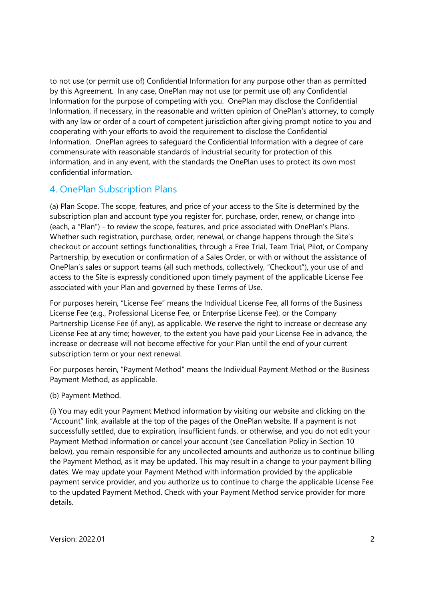to not use (or permit use of) Confidential Information for any purpose other than as permitted by this Agreement. In any case, OnePlan may not use (or permit use of) any Confidential Information for the purpose of competing with you. OnePlan may disclose the Confidential Information, if necessary, in the reasonable and written opinion of OnePlan's attorney, to comply with any law or order of a court of competent jurisdiction after giving prompt notice to you and cooperating with your efforts to avoid the requirement to disclose the Confidential Information. OnePlan agrees to safeguard the Confidential Information with a degree of care commensurate with reasonable standards of industrial security for protection of this information, and in any event, with the standards the OnePlan uses to protect its own most confidential information.

# 4. OnePlan Subscription Plans

(a) Plan Scope. The scope, features, and price of your access to the Site is determined by the subscription plan and account type you register for, purchase, order, renew, or change into (each, a "Plan") - to review the scope, features, and price associated with OnePlan's Plans. Whether such registration, purchase, order, renewal, or change happens through the Site's checkout or account settings functionalities, through a Free Trial, Team Trial, Pilot, or Company Partnership, by execution or confirmation of a Sales Order, or with or without the assistance of OnePlan's sales or support teams (all such methods, collectively, "Checkout"), your use of and access to the Site is expressly conditioned upon timely payment of the applicable License Fee associated with your Plan and governed by these Terms of Use.

For purposes herein, "License Fee" means the Individual License Fee, all forms of the Business License Fee (e.g., Professional License Fee, or Enterprise License Fee), or the Company Partnership License Fee (if any), as applicable. We reserve the right to increase or decrease any License Fee at any time; however, to the extent you have paid your License Fee in advance, the increase or decrease will not become effective for your Plan until the end of your current subscription term or your next renewal.

For purposes herein, "Payment Method" means the Individual Payment Method or the Business Payment Method, as applicable.

(b) Payment Method.

(i) You may edit your Payment Method information by visiting our website and clicking on the "Account" link, available at the top of the pages of the OnePlan website. If a payment is not successfully settled, due to expiration, insufficient funds, or otherwise, and you do not edit your Payment Method information or cancel your account (see Cancellation Policy in Section 10 below), you remain responsible for any uncollected amounts and authorize us to continue billing the Payment Method, as it may be updated. This may result in a change to your payment billing dates. We may update your Payment Method with information provided by the applicable payment service provider, and you authorize us to continue to charge the applicable License Fee to the updated Payment Method. Check with your Payment Method service provider for more details.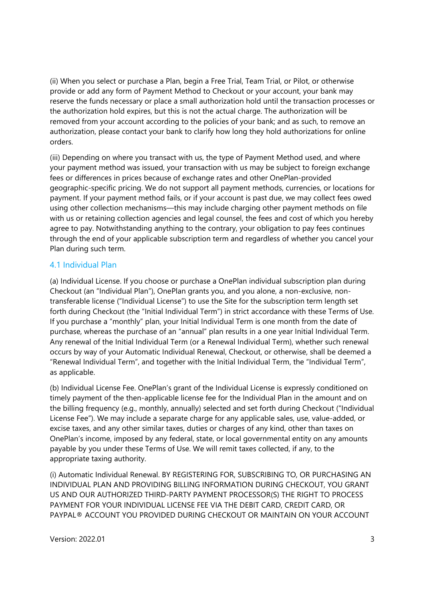(ii) When you select or purchase a Plan, begin a Free Trial, Team Trial, or Pilot, or otherwise provide or add any form of Payment Method to Checkout or your account, your bank may reserve the funds necessary or place a small authorization hold until the transaction processes or the authorization hold expires, but this is not the actual charge. The authorization will be removed from your account according to the policies of your bank; and as such, to remove an authorization, please contact your bank to clarify how long they hold authorizations for online orders.

(iii) Depending on where you transact with us, the type of Payment Method used, and where your payment method was issued, your transaction with us may be subject to foreign exchange fees or differences in prices because of exchange rates and other OnePlan-provided geographic-specific pricing. We do not support all payment methods, currencies, or locations for payment. If your payment method fails, or if your account is past due, we may collect fees owed using other collection mechanisms—this may include charging other payment methods on file with us or retaining collection agencies and legal counsel, the fees and cost of which you hereby agree to pay. Notwithstanding anything to the contrary, your obligation to pay fees continues through the end of your applicable subscription term and regardless of whether you cancel your Plan during such term.

### 4.1 Individual Plan

(a) Individual License. If you choose or purchase a OnePlan individual subscription plan during Checkout (an "Individual Plan"), OnePlan grants you, and you alone, a non-exclusive, nontransferable license ("Individual License") to use the Site for the subscription term length set forth during Checkout (the "Initial Individual Term") in strict accordance with these Terms of Use. If you purchase a "monthly" plan, your Initial Individual Term is one month from the date of purchase, whereas the purchase of an "annual" plan results in a one year Initial Individual Term. Any renewal of the Initial Individual Term (or a Renewal Individual Term), whether such renewal occurs by way of your Automatic Individual Renewal, Checkout, or otherwise, shall be deemed a "Renewal Individual Term", and together with the Initial Individual Term, the "Individual Term", as applicable.

(b) Individual License Fee. OnePlan's grant of the Individual License is expressly conditioned on timely payment of the then-applicable license fee for the Individual Plan in the amount and on the billing frequency (e.g., monthly, annually) selected and set forth during Checkout ("Individual License Fee"). We may include a separate charge for any applicable sales, use, value-added, or excise taxes, and any other similar taxes, duties or charges of any kind, other than taxes on OnePlan's income, imposed by any federal, state, or local governmental entity on any amounts payable by you under these Terms of Use. We will remit taxes collected, if any, to the appropriate taxing authority.

(i) Automatic Individual Renewal. BY REGISTERING FOR, SUBSCRIBING TO, OR PURCHASING AN INDIVIDUAL PLAN AND PROVIDING BILLING INFORMATION DURING CHECKOUT, YOU GRANT US AND OUR AUTHORIZED THIRD-PARTY PAYMENT PROCESSOR(S) THE RIGHT TO PROCESS PAYMENT FOR YOUR INDIVIDUAL LICENSE FEE VIA THE DEBIT CARD, CREDIT CARD, OR PAYPAL® ACCOUNT YOU PROVIDED DURING CHECKOUT OR MAINTAIN ON YOUR ACCOUNT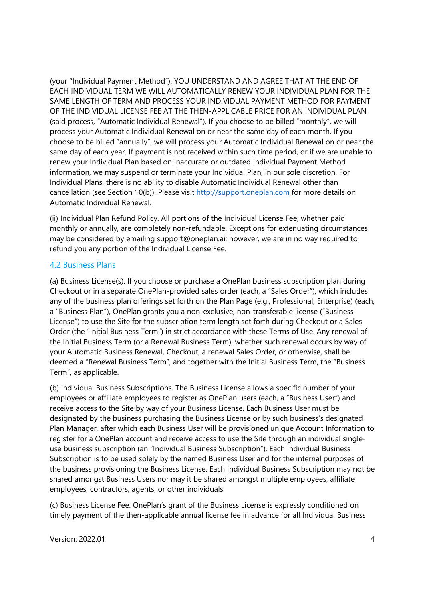(your "Individual Payment Method"). YOU UNDERSTAND AND AGREE THAT AT THE END OF EACH INDIVIDUAL TERM WE WILL AUTOMATICALLY RENEW YOUR INDIVIDUAL PLAN FOR THE SAME LENGTH OF TERM AND PROCESS YOUR INDIVIDUAL PAYMENT METHOD FOR PAYMENT OF THE INDIVIDUAL LICENSE FEE AT THE THEN-APPLICABLE PRICE FOR AN INDIVIDUAL PLAN (said process, "Automatic Individual Renewal"). If you choose to be billed "monthly", we will process your Automatic Individual Renewal on or near the same day of each month. If you choose to be billed "annually", we will process your Automatic Individual Renewal on or near the same day of each year. If payment is not received within such time period, or if we are unable to renew your Individual Plan based on inaccurate or outdated Individual Payment Method information, we may suspend or terminate your Individual Plan, in our sole discretion. For Individual Plans, there is no ability to disable Automatic Individual Renewal other than cancellation (see Section 10(b)). Please visit http://support.oneplan.com for more details on Automatic Individual Renewal.

(ii) Individual Plan Refund Policy. All portions of the Individual License Fee, whether paid monthly or annually, are completely non-refundable. Exceptions for extenuating circumstances may be considered by emailing support@oneplan.ai; however, we are in no way required to refund you any portion of the Individual License Fee.

#### 4.2 Business Plans

(a) Business License(s). If you choose or purchase a OnePlan business subscription plan during Checkout or in a separate OnePlan-provided sales order (each, a "Sales Order"), which includes any of the business plan offerings set forth on the Plan Page (e.g., Professional, Enterprise) (each, a "Business Plan"), OnePlan grants you a non-exclusive, non-transferable license ("Business License") to use the Site for the subscription term length set forth during Checkout or a Sales Order (the "Initial Business Term") in strict accordance with these Terms of Use. Any renewal of the Initial Business Term (or a Renewal Business Term), whether such renewal occurs by way of your Automatic Business Renewal, Checkout, a renewal Sales Order, or otherwise, shall be deemed a "Renewal Business Term", and together with the Initial Business Term, the "Business Term", as applicable.

(b) Individual Business Subscriptions. The Business License allows a specific number of your employees or affiliate employees to register as OnePlan users (each, a "Business User") and receive access to the Site by way of your Business License. Each Business User must be designated by the business purchasing the Business License or by such business's designated Plan Manager, after which each Business User will be provisioned unique Account Information to register for a OnePlan account and receive access to use the Site through an individual singleuse business subscription (an "Individual Business Subscription"). Each Individual Business Subscription is to be used solely by the named Business User and for the internal purposes of the business provisioning the Business License. Each Individual Business Subscription may not be shared amongst Business Users nor may it be shared amongst multiple employees, affiliate employees, contractors, agents, or other individuals.

(c) Business License Fee. OnePlan's grant of the Business License is expressly conditioned on timely payment of the then-applicable annual license fee in advance for all Individual Business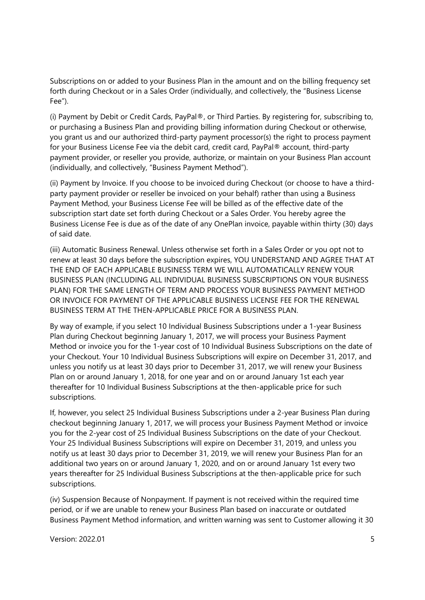Subscriptions on or added to your Business Plan in the amount and on the billing frequency set forth during Checkout or in a Sales Order (individually, and collectively, the "Business License Fee").

(i) Payment by Debit or Credit Cards, PayPal®, or Third Parties. By registering for, subscribing to, or purchasing a Business Plan and providing billing information during Checkout or otherwise, you grant us and our authorized third-party payment processor(s) the right to process payment for your Business License Fee via the debit card, credit card, PayPal® account, third-party payment provider, or reseller you provide, authorize, or maintain on your Business Plan account (individually, and collectively, "Business Payment Method").

(ii) Payment by Invoice. If you choose to be invoiced during Checkout (or choose to have a thirdparty payment provider or reseller be invoiced on your behalf) rather than using a Business Payment Method, your Business License Fee will be billed as of the effective date of the subscription start date set forth during Checkout or a Sales Order. You hereby agree the Business License Fee is due as of the date of any OnePlan invoice, payable within thirty (30) days of said date.

(iii) Automatic Business Renewal. Unless otherwise set forth in a Sales Order or you opt not to renew at least 30 days before the subscription expires, YOU UNDERSTAND AND AGREE THAT AT THE END OF EACH APPLICABLE BUSINESS TERM WE WILL AUTOMATICALLY RENEW YOUR BUSINESS PLAN (INCLUDING ALL INDIVIDUAL BUSINESS SUBSCRIPTIONS ON YOUR BUSINESS PLAN) FOR THE SAME LENGTH OF TERM AND PROCESS YOUR BUSINESS PAYMENT METHOD OR INVOICE FOR PAYMENT OF THE APPLICABLE BUSINESS LICENSE FEE FOR THE RENEWAL BUSINESS TERM AT THE THEN-APPLICABLE PRICE FOR A BUSINESS PLAN.

By way of example, if you select 10 Individual Business Subscriptions under a 1-year Business Plan during Checkout beginning January 1, 2017, we will process your Business Payment Method or invoice you for the 1-year cost of 10 Individual Business Subscriptions on the date of your Checkout. Your 10 Individual Business Subscriptions will expire on December 31, 2017, and unless you notify us at least 30 days prior to December 31, 2017, we will renew your Business Plan on or around January 1, 2018, for one year and on or around January 1st each year thereafter for 10 Individual Business Subscriptions at the then-applicable price for such subscriptions.

If, however, you select 25 Individual Business Subscriptions under a 2-year Business Plan during checkout beginning January 1, 2017, we will process your Business Payment Method or invoice you for the 2-year cost of 25 Individual Business Subscriptions on the date of your Checkout. Your 25 Individual Business Subscriptions will expire on December 31, 2019, and unless you notify us at least 30 days prior to December 31, 2019, we will renew your Business Plan for an additional two years on or around January 1, 2020, and on or around January 1st every two years thereafter for 25 Individual Business Subscriptions at the then-applicable price for such subscriptions.

(iv) Suspension Because of Nonpayment. If payment is not received within the required time period, or if we are unable to renew your Business Plan based on inaccurate or outdated Business Payment Method information, and written warning was sent to Customer allowing it 30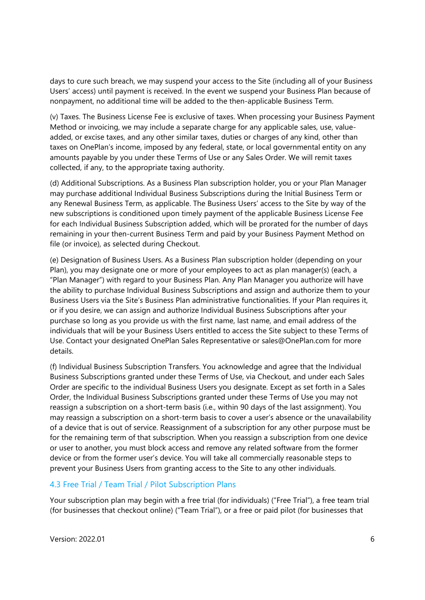days to cure such breach, we may suspend your access to the Site (including all of your Business Users' access) until payment is received. In the event we suspend your Business Plan because of nonpayment, no additional time will be added to the then-applicable Business Term.

(v) Taxes. The Business License Fee is exclusive of taxes. When processing your Business Payment Method or invoicing, we may include a separate charge for any applicable sales, use, valueadded, or excise taxes, and any other similar taxes, duties or charges of any kind, other than taxes on OnePlan's income, imposed by any federal, state, or local governmental entity on any amounts payable by you under these Terms of Use or any Sales Order. We will remit taxes collected, if any, to the appropriate taxing authority.

(d) Additional Subscriptions. As a Business Plan subscription holder, you or your Plan Manager may purchase additional Individual Business Subscriptions during the Initial Business Term or any Renewal Business Term, as applicable. The Business Users' access to the Site by way of the new subscriptions is conditioned upon timely payment of the applicable Business License Fee for each Individual Business Subscription added, which will be prorated for the number of days remaining in your then-current Business Term and paid by your Business Payment Method on file (or invoice), as selected during Checkout.

(e) Designation of Business Users. As a Business Plan subscription holder (depending on your Plan), you may designate one or more of your employees to act as plan manager(s) (each, a "Plan Manager") with regard to your Business Plan. Any Plan Manager you authorize will have the ability to purchase Individual Business Subscriptions and assign and authorize them to your Business Users via the Site's Business Plan administrative functionalities. If your Plan requires it, or if you desire, we can assign and authorize Individual Business Subscriptions after your purchase so long as you provide us with the first name, last name, and email address of the individuals that will be your Business Users entitled to access the Site subject to these Terms of Use. Contact your designated OnePlan Sales Representative or sales@OnePlan.com for more details.

(f) Individual Business Subscription Transfers. You acknowledge and agree that the Individual Business Subscriptions granted under these Terms of Use, via Checkout, and under each Sales Order are specific to the individual Business Users you designate. Except as set forth in a Sales Order, the Individual Business Subscriptions granted under these Terms of Use you may not reassign a subscription on a short-term basis (i.e., within 90 days of the last assignment). You may reassign a subscription on a short-term basis to cover a user's absence or the unavailability of a device that is out of service. Reassignment of a subscription for any other purpose must be for the remaining term of that subscription. When you reassign a subscription from one device or user to another, you must block access and remove any related software from the former device or from the former user's device. You will take all commercially reasonable steps to prevent your Business Users from granting access to the Site to any other individuals.

#### 4.3 Free Trial / Team Trial / Pilot Subscription Plans

Your subscription plan may begin with a free trial (for individuals) ("Free Trial"), a free team trial (for businesses that checkout online) ("Team Trial"), or a free or paid pilot (for businesses that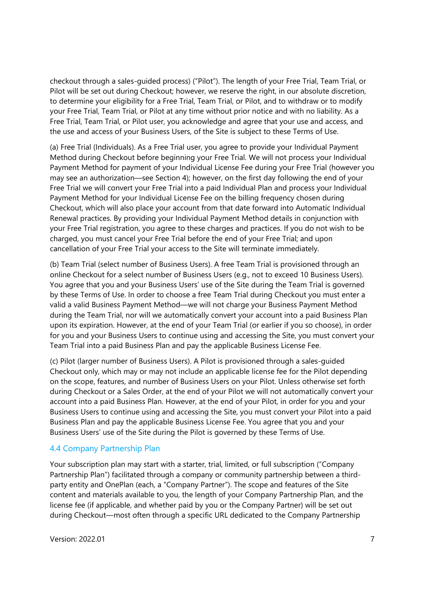checkout through a sales-guided process) ("Pilot"). The length of your Free Trial, Team Trial, or Pilot will be set out during Checkout; however, we reserve the right, in our absolute discretion, to determine your eligibility for a Free Trial, Team Trial, or Pilot, and to withdraw or to modify your Free Trial, Team Trial, or Pilot at any time without prior notice and with no liability. As a Free Trial, Team Trial, or Pilot user, you acknowledge and agree that your use and access, and the use and access of your Business Users, of the Site is subject to these Terms of Use.

(a) Free Trial (Individuals). As a Free Trial user, you agree to provide your Individual Payment Method during Checkout before beginning your Free Trial. We will not process your Individual Payment Method for payment of your Individual License Fee during your Free Trial (however you may see an authorization—see Section 4); however, on the first day following the end of your Free Trial we will convert your Free Trial into a paid Individual Plan and process your Individual Payment Method for your Individual License Fee on the billing frequency chosen during Checkout, which will also place your account from that date forward into Automatic Individual Renewal practices. By providing your Individual Payment Method details in conjunction with your Free Trial registration, you agree to these charges and practices. If you do not wish to be charged, you must cancel your Free Trial before the end of your Free Trial; and upon cancellation of your Free Trial your access to the Site will terminate immediately.

(b) Team Trial (select number of Business Users). A free Team Trial is provisioned through an online Checkout for a select number of Business Users (e.g., not to exceed 10 Business Users). You agree that you and your Business Users' use of the Site during the Team Trial is governed by these Terms of Use. In order to choose a free Team Trial during Checkout you must enter a valid a valid Business Payment Method—we will not charge your Business Payment Method during the Team Trial, nor will we automatically convert your account into a paid Business Plan upon its expiration. However, at the end of your Team Trial (or earlier if you so choose), in order for you and your Business Users to continue using and accessing the Site, you must convert your Team Trial into a paid Business Plan and pay the applicable Business License Fee.

(c) Pilot (larger number of Business Users). A Pilot is provisioned through a sales-guided Checkout only, which may or may not include an applicable license fee for the Pilot depending on the scope, features, and number of Business Users on your Pilot. Unless otherwise set forth during Checkout or a Sales Order, at the end of your Pilot we will not automatically convert your account into a paid Business Plan. However, at the end of your Pilot, in order for you and your Business Users to continue using and accessing the Site, you must convert your Pilot into a paid Business Plan and pay the applicable Business License Fee. You agree that you and your Business Users' use of the Site during the Pilot is governed by these Terms of Use.

### 4.4 Company Partnership Plan

Your subscription plan may start with a starter, trial, limited, or full subscription ("Company Partnership Plan") facilitated through a company or community partnership between a thirdparty entity and OnePlan (each, a "Company Partner"). The scope and features of the Site content and materials available to you, the length of your Company Partnership Plan, and the license fee (if applicable, and whether paid by you or the Company Partner) will be set out during Checkout—most often through a specific URL dedicated to the Company Partnership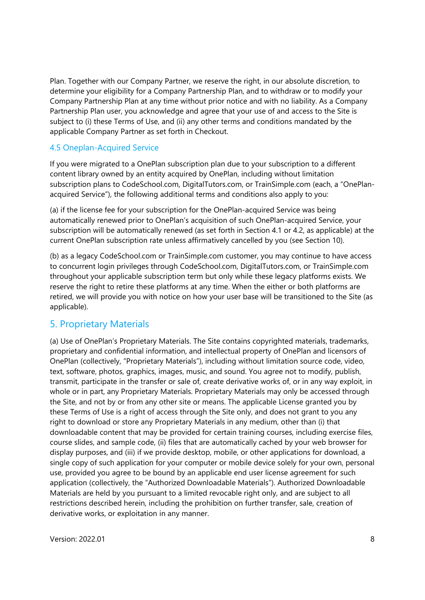Plan. Together with our Company Partner, we reserve the right, in our absolute discretion, to determine your eligibility for a Company Partnership Plan, and to withdraw or to modify your Company Partnership Plan at any time without prior notice and with no liability. As a Company Partnership Plan user, you acknowledge and agree that your use of and access to the Site is subject to (i) these Terms of Use, and (ii) any other terms and conditions mandated by the applicable Company Partner as set forth in Checkout.

### 4.5 Oneplan-Acquired Service

If you were migrated to a OnePlan subscription plan due to your subscription to a different content library owned by an entity acquired by OnePlan, including without limitation subscription plans to CodeSchool.com, DigitalTutors.com, or TrainSimple.com (each, a "OnePlanacquired Service"), the following additional terms and conditions also apply to you:

(a) if the license fee for your subscription for the OnePlan-acquired Service was being automatically renewed prior to OnePlan's acquisition of such OnePlan-acquired Service, your subscription will be automatically renewed (as set forth in Section 4.1 or 4.2, as applicable) at the current OnePlan subscription rate unless affirmatively cancelled by you (see Section 10).

(b) as a legacy CodeSchool.com or TrainSimple.com customer, you may continue to have access to concurrent login privileges through CodeSchool.com, DigitalTutors.com, or TrainSimple.com throughout your applicable subscription term but only while these legacy platforms exists. We reserve the right to retire these platforms at any time. When the either or both platforms are retired, we will provide you with notice on how your user base will be transitioned to the Site (as applicable).

# 5. Proprietary Materials

(a) Use of OnePlan's Proprietary Materials. The Site contains copyrighted materials, trademarks, proprietary and confidential information, and intellectual property of OnePlan and licensors of OnePlan (collectively, "Proprietary Materials"), including without limitation source code, video, text, software, photos, graphics, images, music, and sound. You agree not to modify, publish, transmit, participate in the transfer or sale of, create derivative works of, or in any way exploit, in whole or in part, any Proprietary Materials. Proprietary Materials may only be accessed through the Site, and not by or from any other site or means. The applicable License granted you by these Terms of Use is a right of access through the Site only, and does not grant to you any right to download or store any Proprietary Materials in any medium, other than (i) that downloadable content that may be provided for certain training courses, including exercise files, course slides, and sample code, (ii) files that are automatically cached by your web browser for display purposes, and (iii) if we provide desktop, mobile, or other applications for download, a single copy of such application for your computer or mobile device solely for your own, personal use, provided you agree to be bound by an applicable end user license agreement for such application (collectively, the "Authorized Downloadable Materials"). Authorized Downloadable Materials are held by you pursuant to a limited revocable right only, and are subject to all restrictions described herein, including the prohibition on further transfer, sale, creation of derivative works, or exploitation in any manner.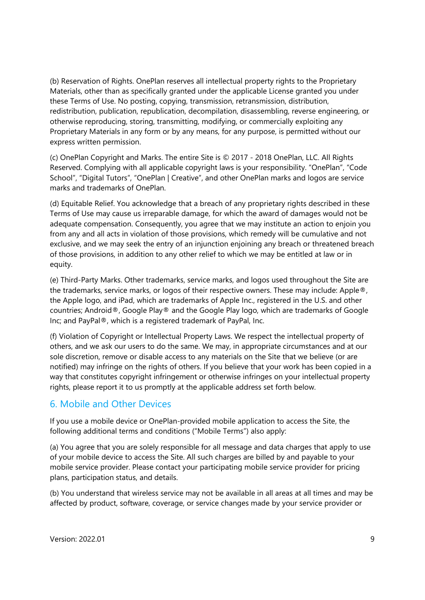(b) Reservation of Rights. OnePlan reserves all intellectual property rights to the Proprietary Materials, other than as specifically granted under the applicable License granted you under these Terms of Use. No posting, copying, transmission, retransmission, distribution, redistribution, publication, republication, decompilation, disassembling, reverse engineering, or otherwise reproducing, storing, transmitting, modifying, or commercially exploiting any Proprietary Materials in any form or by any means, for any purpose, is permitted without our express written permission.

(c) OnePlan Copyright and Marks. The entire Site is © 2017 - 2018 OnePlan, LLC. All Rights Reserved. Complying with all applicable copyright laws is your responsibility. "OnePlan", "Code School", "Digital Tutors", "OnePlan | Creative", and other OnePlan marks and logos are service marks and trademarks of OnePlan.

(d) Equitable Relief. You acknowledge that a breach of any proprietary rights described in these Terms of Use may cause us irreparable damage, for which the award of damages would not be adequate compensation. Consequently, you agree that we may institute an action to enjoin you from any and all acts in violation of those provisions, which remedy will be cumulative and not exclusive, and we may seek the entry of an injunction enjoining any breach or threatened breach of those provisions, in addition to any other relief to which we may be entitled at law or in equity.

(e) Third-Party Marks. Other trademarks, service marks, and logos used throughout the Site are the trademarks, service marks, or logos of their respective owners. These may include: Apple®, the Apple logo, and iPad, which are trademarks of Apple Inc., registered in the U.S. and other countries; Android®, Google Play® and the Google Play logo, which are trademarks of Google Inc; and PayPal®, which is a registered trademark of PayPal, Inc.

(f) Violation of Copyright or Intellectual Property Laws. We respect the intellectual property of others, and we ask our users to do the same. We may, in appropriate circumstances and at our sole discretion, remove or disable access to any materials on the Site that we believe (or are notified) may infringe on the rights of others. If you believe that your work has been copied in a way that constitutes copyright infringement or otherwise infringes on your intellectual property rights, please report it to us promptly at the applicable address set forth below.

### 6. Mobile and Other Devices

If you use a mobile device or OnePlan-provided mobile application to access the Site, the following additional terms and conditions ("Mobile Terms") also apply:

(a) You agree that you are solely responsible for all message and data charges that apply to use of your mobile device to access the Site. All such charges are billed by and payable to your mobile service provider. Please contact your participating mobile service provider for pricing plans, participation status, and details.

(b) You understand that wireless service may not be available in all areas at all times and may be affected by product, software, coverage, or service changes made by your service provider or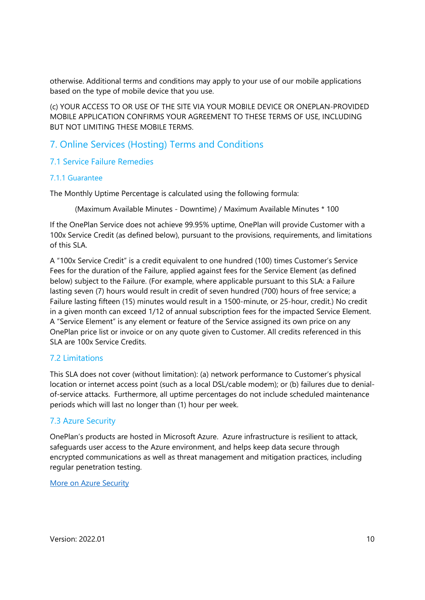otherwise. Additional terms and conditions may apply to your use of our mobile applications based on the type of mobile device that you use.

(c) YOUR ACCESS TO OR USE OF THE SITE VIA YOUR MOBILE DEVICE OR ONEPLAN-PROVIDED MOBILE APPLICATION CONFIRMS YOUR AGREEMENT TO THESE TERMS OF USE, INCLUDING BUT NOT LIMITING THESE MOBILE TERMS.

# 7. Online Services (Hosting) Terms and Conditions

#### 7.1 Service Failure Remedies

#### 7.1.1 Guarantee

The Monthly Uptime Percentage is calculated using the following formula:

(Maximum Available Minutes - Downtime) / Maximum Available Minutes \* 100

If the OnePlan Service does not achieve 99.95% uptime, OnePlan will provide Customer with a 100x Service Credit (as defined below), pursuant to the provisions, requirements, and limitations of this SLA.

A "100x Service Credit" is a credit equivalent to one hundred (100) times Customer's Service Fees for the duration of the Failure, applied against fees for the Service Element (as defined below) subject to the Failure. (For example, where applicable pursuant to this SLA: a Failure lasting seven (7) hours would result in credit of seven hundred (700) hours of free service; a Failure lasting fifteen (15) minutes would result in a 1500-minute, or 25-hour, credit.) No credit in a given month can exceed 1/12 of annual subscription fees for the impacted Service Element. A "Service Element" is any element or feature of the Service assigned its own price on any OnePlan price list or invoice or on any quote given to Customer. All credits referenced in this SLA are 100x Service Credits.

#### 7.2 Limitations

This SLA does not cover (without limitation): (a) network performance to Customer's physical location or internet access point (such as a local DSL/cable modem); or (b) failures due to denialof-service attacks. Furthermore, all uptime percentages do not include scheduled maintenance periods which will last no longer than (1) hour per week.

### 7.3 Azure Security

OnePlan's products are hosted in Microsoft Azure. Azure infrastructure is resilient to attack, safeguards user access to the Azure environment, and helps keep data secure through encrypted communications as well as threat management and mitigation practices, including regular penetration testing.

#### More on Azure Security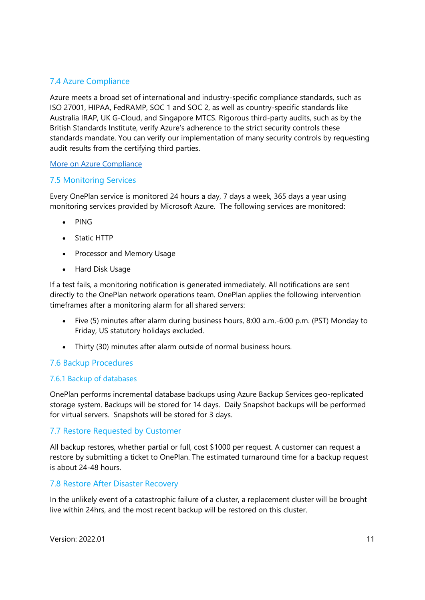### 7.4 Azure Compliance

Azure meets a broad set of international and industry-specific compliance standards, such as ISO 27001, HIPAA, FedRAMP, SOC 1 and SOC 2, as well as country-specific standards like Australia IRAP, UK G-Cloud, and Singapore MTCS. Rigorous third-party audits, such as by the British Standards Institute, verify Azure's adherence to the strict security controls these standards mandate. You can verify our implementation of many security controls by requesting audit results from the certifying third parties.

#### More on Azure Compliance

### 7.5 Monitoring Services

Every OnePlan service is monitored 24 hours a day, 7 days a week, 365 days a year using monitoring services provided by Microsoft Azure. The following services are monitored:

- PING
- Static HTTP
- Processor and Memory Usage
- Hard Disk Usage

If a test fails, a monitoring notification is generated immediately. All notifications are sent directly to the OnePlan network operations team. OnePlan applies the following intervention timeframes after a monitoring alarm for all shared servers:

- Five (5) minutes after alarm during business hours, 8:00 a.m.-6:00 p.m. (PST) Monday to Friday, US statutory holidays excluded.
- Thirty (30) minutes after alarm outside of normal business hours.

### 7.6 Backup Procedures

### 7.6.1 Backup of databases

OnePlan performs incremental database backups using Azure Backup Services geo-replicated storage system. Backups will be stored for 14 days. Daily Snapshot backups will be performed for virtual servers. Snapshots will be stored for 3 days.

### 7.7 Restore Requested by Customer

All backup restores, whether partial or full, cost \$1000 per request. A customer can request a restore by submitting a ticket to OnePlan. The estimated turnaround time for a backup request is about 24-48 hours.

#### 7.8 Restore After Disaster Recovery

In the unlikely event of a catastrophic failure of a cluster, a replacement cluster will be brought live within 24hrs, and the most recent backup will be restored on this cluster.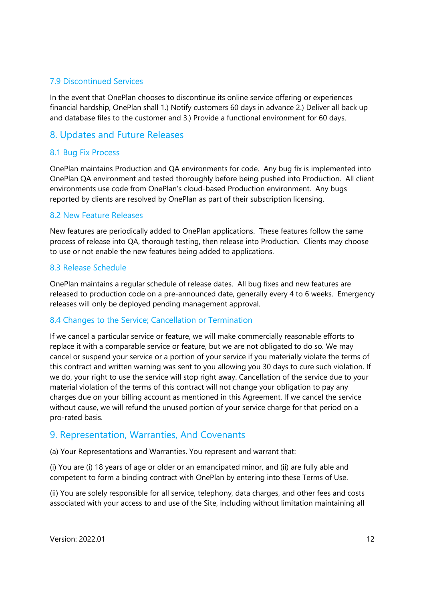#### 7.9 Discontinued Services

In the event that OnePlan chooses to discontinue its online service offering or experiences financial hardship, OnePlan shall 1.) Notify customers 60 days in advance 2.) Deliver all back up and database files to the customer and 3.) Provide a functional environment for 60 days.

### 8. Updates and Future Releases

#### 8.1 Bug Fix Process

OnePlan maintains Production and QA environments for code. Any bug fix is implemented into OnePlan QA environment and tested thoroughly before being pushed into Production. All client environments use code from OnePlan's cloud-based Production environment. Any bugs reported by clients are resolved by OnePlan as part of their subscription licensing.

#### 8.2 New Feature Releases

New features are periodically added to OnePlan applications. These features follow the same process of release into QA, thorough testing, then release into Production. Clients may choose to use or not enable the new features being added to applications.

#### 8.3 Release Schedule

OnePlan maintains a regular schedule of release dates. All bug fixes and new features are released to production code on a pre-announced date, generally every 4 to 6 weeks. Emergency releases will only be deployed pending management approval.

#### 8.4 Changes to the Service; Cancellation or Termination

If we cancel a particular service or feature, we will make commercially reasonable efforts to replace it with a comparable service or feature, but we are not obligated to do so. We may cancel or suspend your service or a portion of your service if you materially violate the terms of this contract and written warning was sent to you allowing you 30 days to cure such violation. If we do, your right to use the service will stop right away. Cancellation of the service due to your material violation of the terms of this contract will not change your obligation to pay any charges due on your billing account as mentioned in this Agreement. If we cancel the service without cause, we will refund the unused portion of your service charge for that period on a pro-rated basis.

### 9. Representation, Warranties, And Covenants

(a) Your Representations and Warranties. You represent and warrant that:

(i) You are (i) 18 years of age or older or an emancipated minor, and (ii) are fully able and competent to form a binding contract with OnePlan by entering into these Terms of Use.

(ii) You are solely responsible for all service, telephony, data charges, and other fees and costs associated with your access to and use of the Site, including without limitation maintaining all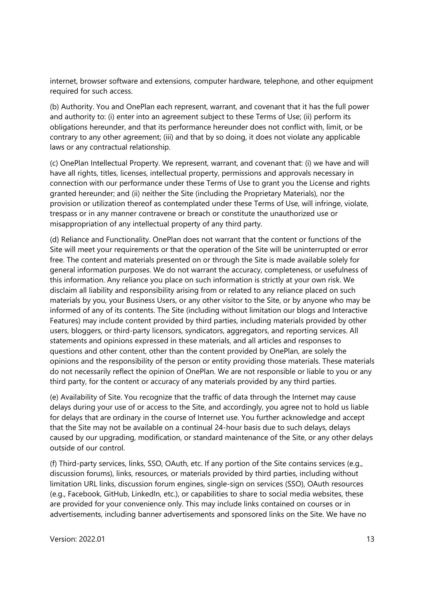internet, browser software and extensions, computer hardware, telephone, and other equipment required for such access.

(b) Authority. You and OnePlan each represent, warrant, and covenant that it has the full power and authority to: (i) enter into an agreement subject to these Terms of Use; (ii) perform its obligations hereunder, and that its performance hereunder does not conflict with, limit, or be contrary to any other agreement; (iii) and that by so doing, it does not violate any applicable laws or any contractual relationship.

(c) OnePlan Intellectual Property. We represent, warrant, and covenant that: (i) we have and will have all rights, titles, licenses, intellectual property, permissions and approvals necessary in connection with our performance under these Terms of Use to grant you the License and rights granted hereunder; and (ii) neither the Site (including the Proprietary Materials), nor the provision or utilization thereof as contemplated under these Terms of Use, will infringe, violate, trespass or in any manner contravene or breach or constitute the unauthorized use or misappropriation of any intellectual property of any third party.

(d) Reliance and Functionality. OnePlan does not warrant that the content or functions of the Site will meet your requirements or that the operation of the Site will be uninterrupted or error free. The content and materials presented on or through the Site is made available solely for general information purposes. We do not warrant the accuracy, completeness, or usefulness of this information. Any reliance you place on such information is strictly at your own risk. We disclaim all liability and responsibility arising from or related to any reliance placed on such materials by you, your Business Users, or any other visitor to the Site, or by anyone who may be informed of any of its contents. The Site (including without limitation our blogs and Interactive Features) may include content provided by third parties, including materials provided by other users, bloggers, or third-party licensors, syndicators, aggregators, and reporting services. All statements and opinions expressed in these materials, and all articles and responses to questions and other content, other than the content provided by OnePlan, are solely the opinions and the responsibility of the person or entity providing those materials. These materials do not necessarily reflect the opinion of OnePlan. We are not responsible or liable to you or any third party, for the content or accuracy of any materials provided by any third parties.

(e) Availability of Site. You recognize that the traffic of data through the Internet may cause delays during your use of or access to the Site, and accordingly, you agree not to hold us liable for delays that are ordinary in the course of Internet use. You further acknowledge and accept that the Site may not be available on a continual 24-hour basis due to such delays, delays caused by our upgrading, modification, or standard maintenance of the Site, or any other delays outside of our control.

(f) Third-party services, links, SSO, OAuth, etc. If any portion of the Site contains services (e.g., discussion forums), links, resources, or materials provided by third parties, including without limitation URL links, discussion forum engines, single-sign on services (SSO), OAuth resources (e.g., Facebook, GitHub, LinkedIn, etc.), or capabilities to share to social media websites, these are provided for your convenience only. This may include links contained on courses or in advertisements, including banner advertisements and sponsored links on the Site. We have no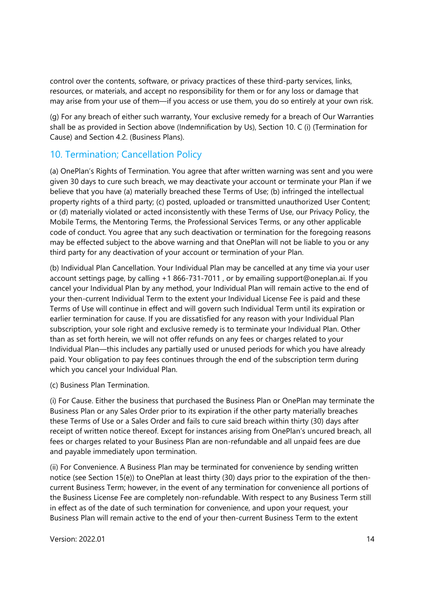control over the contents, software, or privacy practices of these third-party services, links, resources, or materials, and accept no responsibility for them or for any loss or damage that may arise from your use of them—if you access or use them, you do so entirely at your own risk.

(g) For any breach of either such warranty, Your exclusive remedy for a breach of Our Warranties shall be as provided in Section above (Indemnification by Us), Section 10. C (i) (Termination for Cause) and Section 4.2. (Business Plans).

# 10. Termination; Cancellation Policy

(a) OnePlan's Rights of Termination. You agree that after written warning was sent and you were given 30 days to cure such breach, we may deactivate your account or terminate your Plan if we believe that you have (a) materially breached these Terms of Use; (b) infringed the intellectual property rights of a third party; (c) posted, uploaded or transmitted unauthorized User Content; or (d) materially violated or acted inconsistently with these Terms of Use, our Privacy Policy, the Mobile Terms, the Mentoring Terms, the Professional Services Terms, or any other applicable code of conduct. You agree that any such deactivation or termination for the foregoing reasons may be effected subject to the above warning and that OnePlan will not be liable to you or any third party for any deactivation of your account or termination of your Plan.

(b) Individual Plan Cancellation. Your Individual Plan may be cancelled at any time via your user account settings page, by calling +1 866-731-7011 , or by emailing support@oneplan.ai. If you cancel your Individual Plan by any method, your Individual Plan will remain active to the end of your then-current Individual Term to the extent your Individual License Fee is paid and these Terms of Use will continue in effect and will govern such Individual Term until its expiration or earlier termination for cause. If you are dissatisfied for any reason with your Individual Plan subscription, your sole right and exclusive remedy is to terminate your Individual Plan. Other than as set forth herein, we will not offer refunds on any fees or charges related to your Individual Plan—this includes any partially used or unused periods for which you have already paid. Your obligation to pay fees continues through the end of the subscription term during which you cancel your Individual Plan.

(c) Business Plan Termination.

(i) For Cause. Either the business that purchased the Business Plan or OnePlan may terminate the Business Plan or any Sales Order prior to its expiration if the other party materially breaches these Terms of Use or a Sales Order and fails to cure said breach within thirty (30) days after receipt of written notice thereof. Except for instances arising from OnePlan's uncured breach, all fees or charges related to your Business Plan are non-refundable and all unpaid fees are due and payable immediately upon termination.

(ii) For Convenience. A Business Plan may be terminated for convenience by sending written notice (see Section 15(e)) to OnePlan at least thirty (30) days prior to the expiration of the thencurrent Business Term; however, in the event of any termination for convenience all portions of the Business License Fee are completely non-refundable. With respect to any Business Term still in effect as of the date of such termination for convenience, and upon your request, your Business Plan will remain active to the end of your then-current Business Term to the extent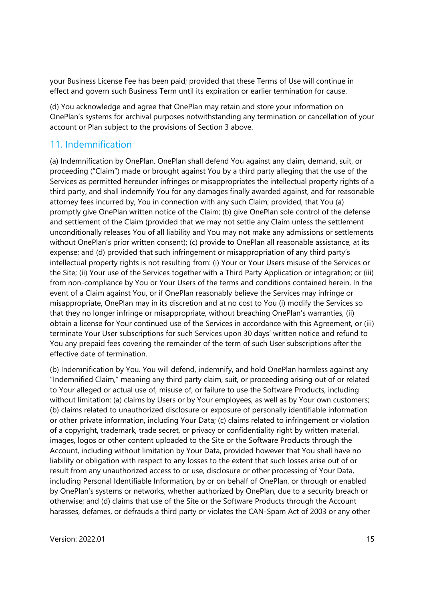your Business License Fee has been paid; provided that these Terms of Use will continue in effect and govern such Business Term until its expiration or earlier termination for cause.

(d) You acknowledge and agree that OnePlan may retain and store your information on OnePlan's systems for archival purposes notwithstanding any termination or cancellation of your account or Plan subject to the provisions of Section 3 above.

# 11. Indemnification

(a) Indemnification by OnePlan. OnePlan shall defend You against any claim, demand, suit, or proceeding ("Claim") made or brought against You by a third party alleging that the use of the Services as permitted hereunder infringes or misappropriates the intellectual property rights of a third party, and shall indemnify You for any damages finally awarded against, and for reasonable attorney fees incurred by, You in connection with any such Claim; provided, that You (a) promptly give OnePlan written notice of the Claim; (b) give OnePlan sole control of the defense and settlement of the Claim (provided that we may not settle any Claim unless the settlement unconditionally releases You of all liability and You may not make any admissions or settlements without OnePlan's prior written consent); (c) provide to OnePlan all reasonable assistance, at its expense; and (d) provided that such infringement or misappropriation of any third party's intellectual property rights is not resulting from: (i) Your or Your Users misuse of the Services or the Site; (ii) Your use of the Services together with a Third Party Application or integration; or (iii) from non-compliance by You or Your Users of the terms and conditions contained herein. In the event of a Claim against You, or if OnePlan reasonably believe the Services may infringe or misappropriate, OnePlan may in its discretion and at no cost to You (i) modify the Services so that they no longer infringe or misappropriate, without breaching OnePlan's warranties, (ii) obtain a license for Your continued use of the Services in accordance with this Agreement, or (iii) terminate Your User subscriptions for such Services upon 30 days' written notice and refund to You any prepaid fees covering the remainder of the term of such User subscriptions after the effective date of termination.

(b) Indemnification by You. You will defend, indemnify, and hold OnePlan harmless against any "Indemnified Claim," meaning any third party claim, suit, or proceeding arising out of or related to Your alleged or actual use of, misuse of, or failure to use the Software Products, including without limitation: (a) claims by Users or by Your employees, as well as by Your own customers; (b) claims related to unauthorized disclosure or exposure of personally identifiable information or other private information, including Your Data; (c) claims related to infringement or violation of a copyright, trademark, trade secret, or privacy or confidentiality right by written material, images, logos or other content uploaded to the Site or the Software Products through the Account, including without limitation by Your Data, provided however that You shall have no liability or obligation with respect to any losses to the extent that such losses arise out of or result from any unauthorized access to or use, disclosure or other processing of Your Data, including Personal Identifiable Information, by or on behalf of OnePlan, or through or enabled by OnePlan's systems or networks, whether authorized by OnePlan, due to a security breach or otherwise; and (d) claims that use of the Site or the Software Products through the Account harasses, defames, or defrauds a third party or violates the CAN-Spam Act of 2003 or any other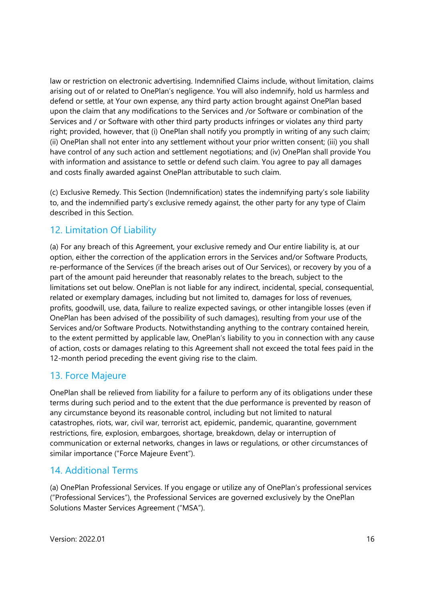law or restriction on electronic advertising. Indemnified Claims include, without limitation, claims arising out of or related to OnePlan's negligence. You will also indemnify, hold us harmless and defend or settle, at Your own expense, any third party action brought against OnePlan based upon the claim that any modifications to the Services and /or Software or combination of the Services and / or Software with other third party products infringes or violates any third party right; provided, however, that (i) OnePlan shall notify you promptly in writing of any such claim; (ii) OnePlan shall not enter into any settlement without your prior written consent; (iii) you shall have control of any such action and settlement negotiations; and (iv) OnePlan shall provide You with information and assistance to settle or defend such claim. You agree to pay all damages and costs finally awarded against OnePlan attributable to such claim.

(c) Exclusive Remedy. This Section (Indemnification) states the indemnifying party's sole liability to, and the indemnified party's exclusive remedy against, the other party for any type of Claim described in this Section.

# 12. Limitation Of Liability

(a) For any breach of this Agreement, your exclusive remedy and Our entire liability is, at our option, either the correction of the application errors in the Services and/or Software Products, re-performance of the Services (if the breach arises out of Our Services), or recovery by you of a part of the amount paid hereunder that reasonably relates to the breach, subject to the limitations set out below. OnePlan is not liable for any indirect, incidental, special, consequential, related or exemplary damages, including but not limited to, damages for loss of revenues, profits, goodwill, use, data, failure to realize expected savings, or other intangible losses (even if OnePlan has been advised of the possibility of such damages), resulting from your use of the Services and/or Software Products. Notwithstanding anything to the contrary contained herein, to the extent permitted by applicable law, OnePlan's liability to you in connection with any cause of action, costs or damages relating to this Agreement shall not exceed the total fees paid in the 12-month period preceding the event giving rise to the claim.

# 13. Force Majeure

OnePlan shall be relieved from liability for a failure to perform any of its obligations under these terms during such period and to the extent that the due performance is prevented by reason of any circumstance beyond its reasonable control, including but not limited to natural catastrophes, riots, war, civil war, terrorist act, epidemic, pandemic, quarantine, government restrictions, fire, explosion, embargoes, shortage, breakdown, delay or interruption of communication or external networks, changes in laws or regulations, or other circumstances of similar importance ("Force Majeure Event").

# 14. Additional Terms

(a) OnePlan Professional Services. If you engage or utilize any of OnePlan's professional services ("Professional Services"), the Professional Services are governed exclusively by the OnePlan Solutions Master Services Agreement ("MSA").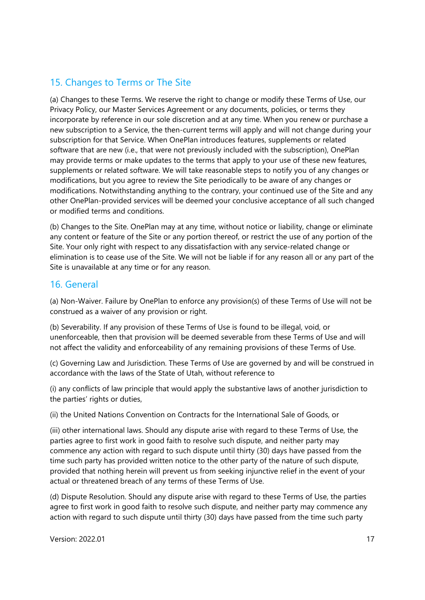# 15. Changes to Terms or The Site

(a) Changes to these Terms. We reserve the right to change or modify these Terms of Use, our Privacy Policy, our Master Services Agreement or any documents, policies, or terms they incorporate by reference in our sole discretion and at any time. When you renew or purchase a new subscription to a Service, the then-current terms will apply and will not change during your subscription for that Service. When OnePlan introduces features, supplements or related software that are new (i.e., that were not previously included with the subscription), OnePlan may provide terms or make updates to the terms that apply to your use of these new features, supplements or related software. We will take reasonable steps to notify you of any changes or modifications, but you agree to review the Site periodically to be aware of any changes or modifications. Notwithstanding anything to the contrary, your continued use of the Site and any other OnePlan-provided services will be deemed your conclusive acceptance of all such changed or modified terms and conditions.

(b) Changes to the Site. OnePlan may at any time, without notice or liability, change or eliminate any content or feature of the Site or any portion thereof, or restrict the use of any portion of the Site. Your only right with respect to any dissatisfaction with any service-related change or elimination is to cease use of the Site. We will not be liable if for any reason all or any part of the Site is unavailable at any time or for any reason.

### 16. General

(a) Non-Waiver. Failure by OnePlan to enforce any provision(s) of these Terms of Use will not be construed as a waiver of any provision or right.

(b) Severability. If any provision of these Terms of Use is found to be illegal, void, or unenforceable, then that provision will be deemed severable from these Terms of Use and will not affect the validity and enforceability of any remaining provisions of these Terms of Use.

(c) Governing Law and Jurisdiction. These Terms of Use are governed by and will be construed in accordance with the laws of the State of Utah, without reference to

(i) any conflicts of law principle that would apply the substantive laws of another jurisdiction to the parties' rights or duties,

(ii) the United Nations Convention on Contracts for the International Sale of Goods, or

(iii) other international laws. Should any dispute arise with regard to these Terms of Use, the parties agree to first work in good faith to resolve such dispute, and neither party may commence any action with regard to such dispute until thirty (30) days have passed from the time such party has provided written notice to the other party of the nature of such dispute, provided that nothing herein will prevent us from seeking injunctive relief in the event of your actual or threatened breach of any terms of these Terms of Use.

(d) Dispute Resolution. Should any dispute arise with regard to these Terms of Use, the parties agree to first work in good faith to resolve such dispute, and neither party may commence any action with regard to such dispute until thirty (30) days have passed from the time such party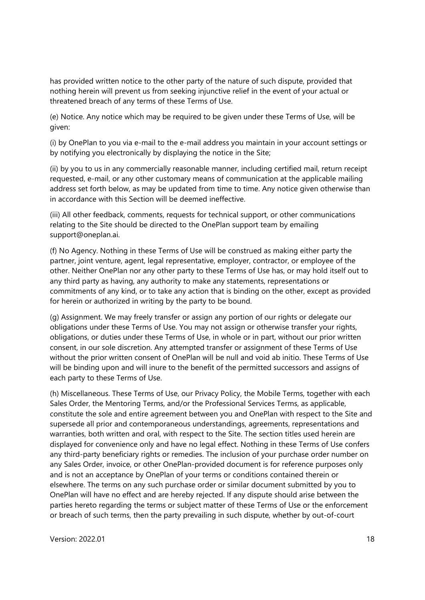has provided written notice to the other party of the nature of such dispute, provided that nothing herein will prevent us from seeking injunctive relief in the event of your actual or threatened breach of any terms of these Terms of Use.

(e) Notice. Any notice which may be required to be given under these Terms of Use, will be given:

(i) by OnePlan to you via e-mail to the e-mail address you maintain in your account settings or by notifying you electronically by displaying the notice in the Site;

(ii) by you to us in any commercially reasonable manner, including certified mail, return receipt requested, e-mail, or any other customary means of communication at the applicable mailing address set forth below, as may be updated from time to time. Any notice given otherwise than in accordance with this Section will be deemed ineffective.

(iii) All other feedback, comments, requests for technical support, or other communications relating to the Site should be directed to the OnePlan support team by emailing support@oneplan.ai.

(f) No Agency. Nothing in these Terms of Use will be construed as making either party the partner, joint venture, agent, legal representative, employer, contractor, or employee of the other. Neither OnePlan nor any other party to these Terms of Use has, or may hold itself out to any third party as having, any authority to make any statements, representations or commitments of any kind, or to take any action that is binding on the other, except as provided for herein or authorized in writing by the party to be bound.

(g) Assignment. We may freely transfer or assign any portion of our rights or delegate our obligations under these Terms of Use. You may not assign or otherwise transfer your rights, obligations, or duties under these Terms of Use, in whole or in part, without our prior written consent, in our sole discretion. Any attempted transfer or assignment of these Terms of Use without the prior written consent of OnePlan will be null and void ab initio. These Terms of Use will be binding upon and will inure to the benefit of the permitted successors and assigns of each party to these Terms of Use.

(h) Miscellaneous. These Terms of Use, our Privacy Policy, the Mobile Terms, together with each Sales Order, the Mentoring Terms, and/or the Professional Services Terms, as applicable, constitute the sole and entire agreement between you and OnePlan with respect to the Site and supersede all prior and contemporaneous understandings, agreements, representations and warranties, both written and oral, with respect to the Site. The section titles used herein are displayed for convenience only and have no legal effect. Nothing in these Terms of Use confers any third-party beneficiary rights or remedies. The inclusion of your purchase order number on any Sales Order, invoice, or other OnePlan-provided document is for reference purposes only and is not an acceptance by OnePlan of your terms or conditions contained therein or elsewhere. The terms on any such purchase order or similar document submitted by you to OnePlan will have no effect and are hereby rejected. If any dispute should arise between the parties hereto regarding the terms or subject matter of these Terms of Use or the enforcement or breach of such terms, then the party prevailing in such dispute, whether by out-of-court